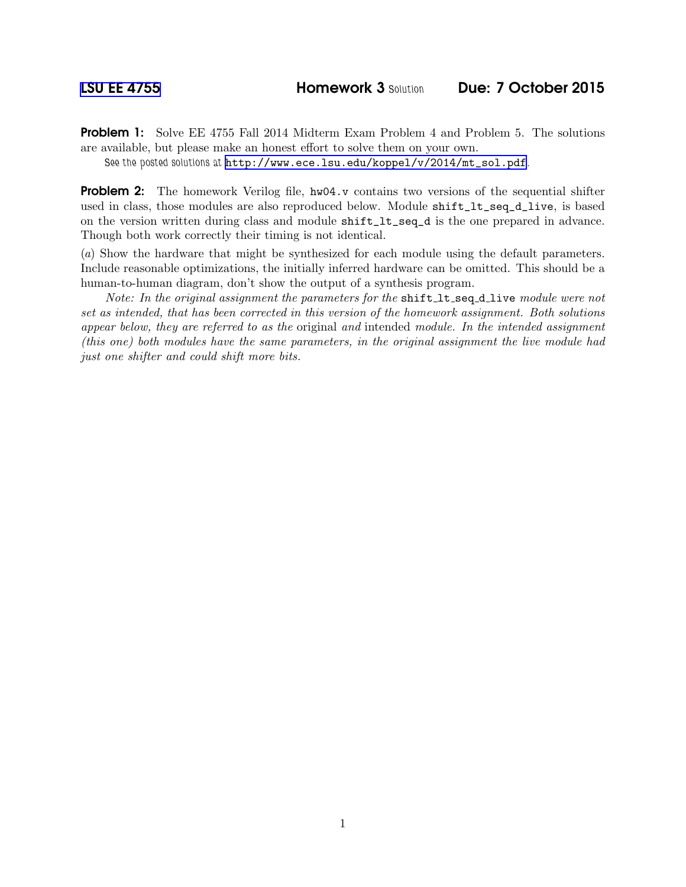Problem 1: Solve EE 4755 Fall 2014 Midterm Exam Problem 4 and Problem 5. The solutions are available, but please make an honest effort to solve them on your own.

See the posted solutions at [http://www.ece.lsu.edu/koppel/v/2014/mt\\_sol.pdf](http://www.ece.lsu.edu/koppel/v/2014/mt_sol.pdf).

**Problem 2:** The homework Verilog file,  $hw04.v$  contains two versions of the sequential shifter used in class, those modules are also reproduced below. Module shift\_lt\_seq\_d\_live, is based on the version written during class and module shift\_lt\_seq\_d is the one prepared in advance. Though both work correctly their timing is not identical.

(*a*) Show the hardware that might be synthesized for each module using the default parameters. Include reasonable optimizations, the initially inferred hardware can be omitted. This should be a human-to-human diagram, don't show the output of a synthesis program.

*Note: In the original assignment the parameters for the* shift lt\_seq\_d\_live *module were not set as intended, that has been corrected in this version of the homework assignment. Both solutions appear below, they are referred to as the* original *and* intended *module. In the intended assignment (this one) both modules have the same parameters, in the original assignment the live module had just one shifter and could shift more bits.*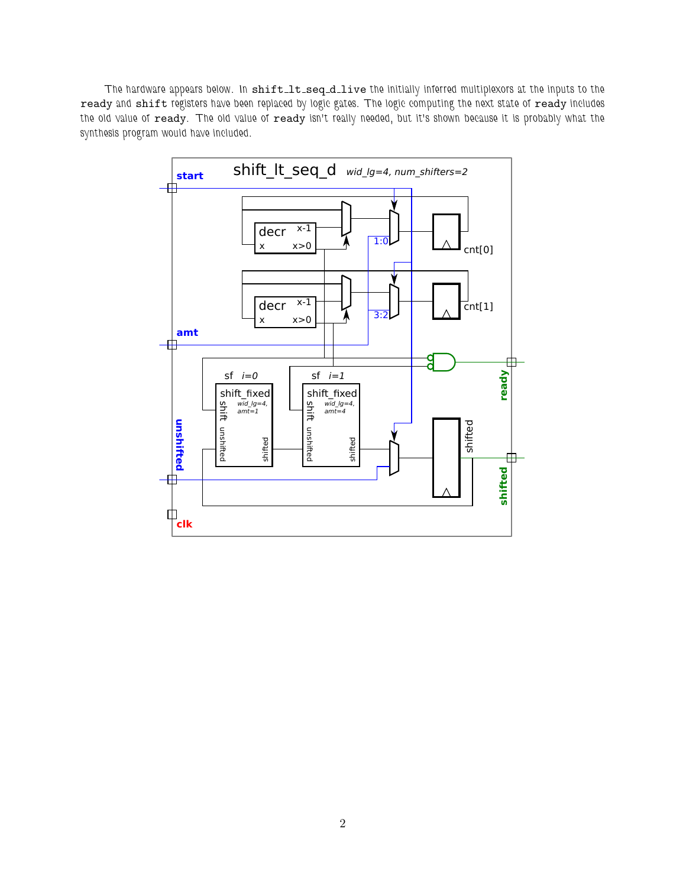The hardware appears below. In shift\_lt\_seq\_d\_live the initially inferred multiplexors at the inputs to the ready and shift registers have been replaced by logic gates. The logic computing the next state of ready includes the old value of ready. The old value of ready isn't really needed, but it's shown because it is probably what the synthesis program would have included.

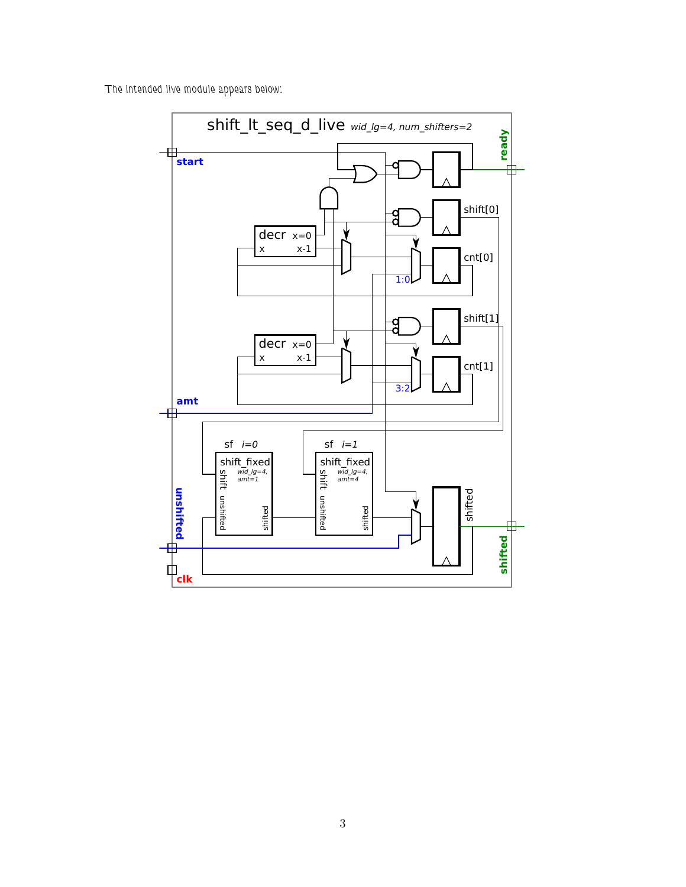The intended live module appears below:

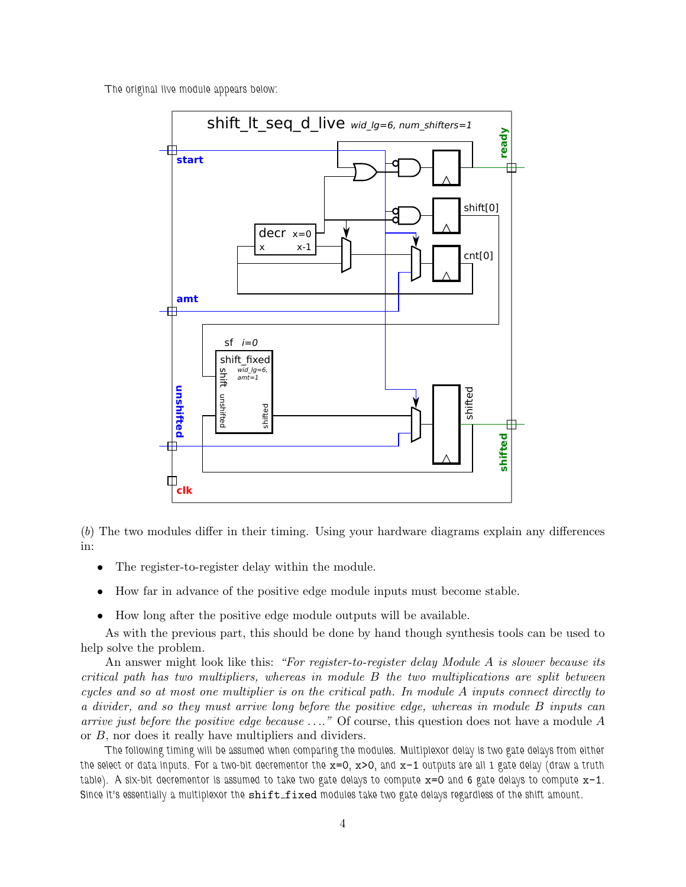The original live module appears below:



(*b*) The two modules differ in their timing. Using your hardware diagrams explain any differences in:

- The register-to-register delay within the module.
- How far in advance of the positive edge module inputs must become stable.
- How long after the positive edge module outputs will be available.

As with the previous part, this should be done by hand though synthesis tools can be used to help solve the problem.

An answer might look like this: *"For register-to-register delay Module* A *is slower because its critical path has two multipliers, whereas in module* B *the two multiplications are split between cycles and so at most one multiplier is on the critical path. In module* A *inputs connect directly to a divider, and so they must arrive long before the positive edge, whereas in module* B *inputs can arrive just before the positive edge because* . . .*."* Of course, this question does not have a module A or B, nor does it really have multipliers and dividers.

The following timing will be assumed when comparing the modules. Multiplexor delay is two gate delays from either the select or data inputs. For a two-bit decrementor the  $x=0$ ,  $x>0$ , and  $x-1$  outputs are all 1 gate delay (draw a truth table). A six-bit decrementor is assumed to take two gate delays to compute  $x=0$  and 6 gate delays to compute  $x-1$ . Since it's essentially a multiplexor the shift\_fixed modules take two gate delays regardless of the shift amount.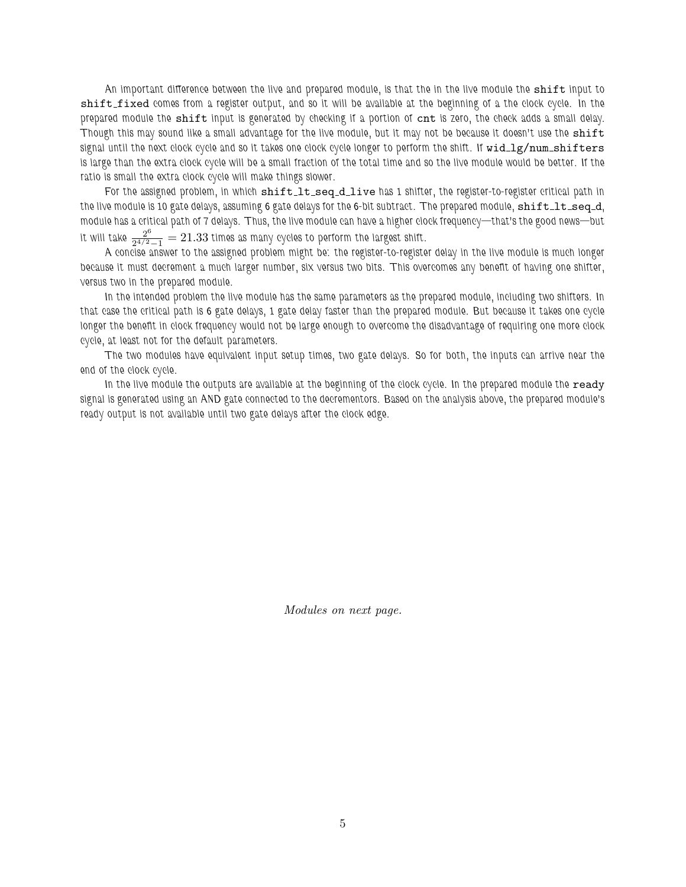An important difference between the live and prepared module, is that the in the live module the shift input to shift fixed comes from a register output, and so it will be available at the beginning of a the clock cycle. In the prepared module the shift input is generated by checking if a portion of cnt is zero, the check adds a small delay. Though this may sound like a small advantage for the live module, but it may not be because it doesn't use the shift signal until the next clock cycle and so it takes one clock cycle longer to perform the shift. If wid\_lg/num\_shifters is large than the extra clock cycle will be a small fraction of the total time and so the live module would be better. If the ratio is small the extra clock cycle will make things slower.

For the assigned problem, in which shift lt\_seq\_d\_live has 1 shifter, the register-to-register critical path in the live module is 10 gate delays, assuming 6 gate delays for the 6-bit subtract. The prepared module,  ${\tt shift·}$ seq\_d, module has a critical path of 7 delays. Thus, the live module can have a higher clock frequency—that's the good news—but it will take  $\frac{2^6}{2^{4/2}-1}=21.33$  times as many cycles to perform the largest shift.

A concise answer to the assigned problem might be: the register-to-register delay in the live module is much longer because it must decrement a much larger number, six versus two bits. This overcomes any benefit of having one shifter, versus two in the prepared module.

In the intended problem the live module has the same parameters as the prepared module, including two shifters. In that case the critical path is 6 gate delays, 1 gate delay faster than the prepared module. But because it takes one cycle longer the benefit in clock frequency would not be large enough to overcome the disadvantage of requiring one more clock cycle, at least not for the default parameters.

The two modules have equivalent input setup times, two gate delays. So for both, the inputs can arrive near the end of the clock cycle.

In the live module the outputs are available at the beginning of the clock cycle. In the prepared module the ready signal is generated using an AND gate connected to the decrementors. Based on the analysis above, the prepared module's ready output is not available until two gate delays after the clock edge.

*Modules on next page.*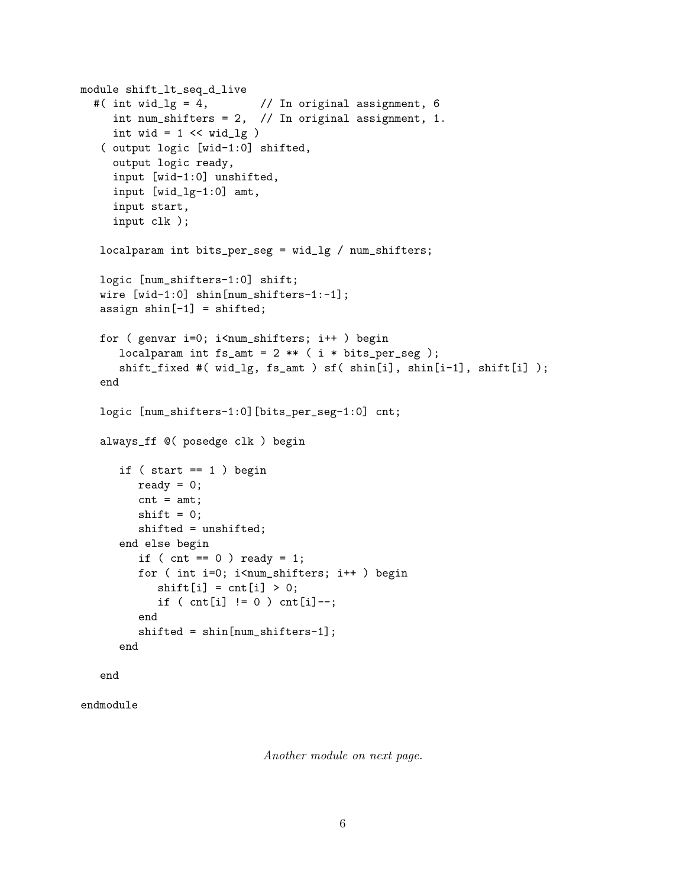```
module shift_lt_seq_d_live
#( int wid_lg = 4, \frac{1}{2} // In original assignment, 6
   int num_shifters = 2, // In original assignment, 1.
   int wid = 1 \lt\lt wid_lg )( output logic [wid-1:0] shifted,
   output logic ready,
   input [wid-1:0] unshifted,
   input [wid_lg-1:0] amt,
   input start,
   input clk );
 localparam int bits_per_seg = wid_lg / num_shifters;
 logic [num_shifters-1:0] shift;
 wire [wid-1:0] shin[num_shifters-1:-1];
 assign \sin[-1] = \sin\theta;
 for ( genvar i=0; i<num_shifters; i++ ) begin
    localparam int fs\_amt = 2 ** (i * bits\_per\_seg);
    shift_fixed #( wid_lg, fs_amt ) sf( shin[i], shin[i-1], shift[i] );
 end
 logic [num_shifters-1:0][bits_per_seg-1:0] cnt;
 always_ff @( posedge clk ) begin
    if (start == 1) begin
       ready = 0;
       cnt = amt;shift = 0;shifted = unshifted;
    end else begin
       if ( cnt == 0 ) ready = 1;
       for ( int i=0; i<num_shifters; i++ ) begin
          shift[i] = cnt[i] > 0;if ( cnt[i] != 0 ) cnt[i] --;
       end
       shifted = shin[num_shifters-1];
    end
 end
```

```
endmodule
```
*Another module on next page.*